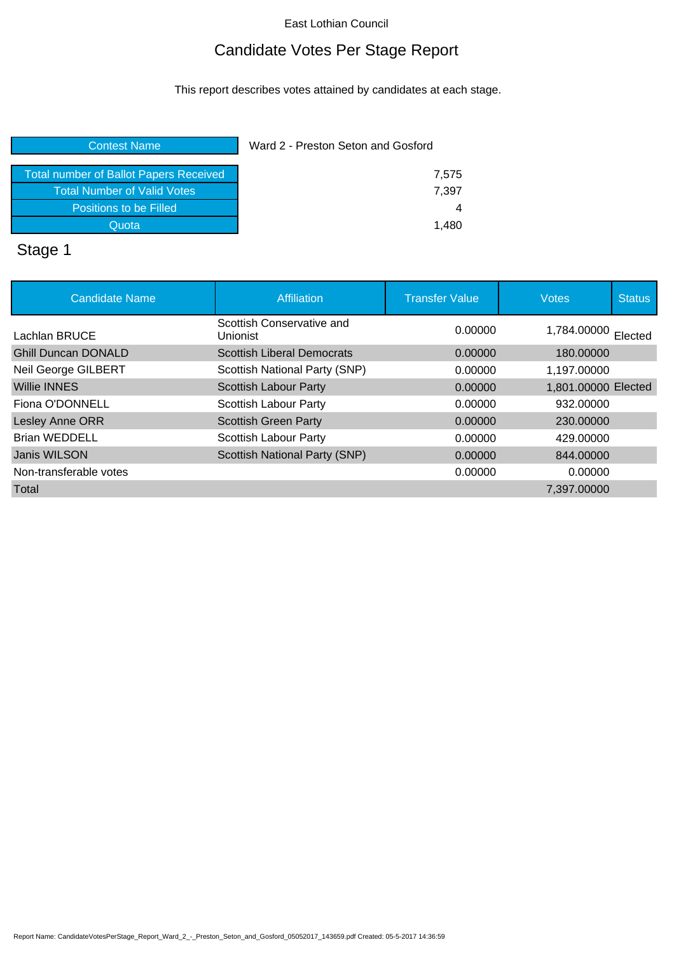# Candidate Votes Per Stage Report

This report describes votes attained by candidates at each stage.

#### **Contest Name Ward 2 - Preston Seton and Gosford**

# Stage 1

| <b>Candidate Name</b>      | Affiliation                                  | <b>Transfer Value</b> | <b>Votes</b>        | <b>Status</b> |
|----------------------------|----------------------------------------------|-----------------------|---------------------|---------------|
| Lachlan BRUCE              | Scottish Conservative and<br><b>Unionist</b> | 0.00000               | 1,784.00000 Elected |               |
| <b>Ghill Duncan DONALD</b> | <b>Scottish Liberal Democrats</b>            | 0.00000               | 180.00000           |               |
| Neil George GILBERT        | Scottish National Party (SNP)                | 0.00000               | 1,197.00000         |               |
| <b>Willie INNES</b>        | <b>Scottish Labour Party</b>                 | 0.00000               | 1,801.00000 Elected |               |
| Fiona O'DONNELL            | <b>Scottish Labour Party</b>                 | 0.00000               | 932.00000           |               |
| Lesley Anne ORR            | <b>Scottish Green Party</b>                  | 0.00000               | 230,00000           |               |
| <b>Brian WEDDELL</b>       | <b>Scottish Labour Party</b>                 | 0.00000               | 429,00000           |               |
| Janis WILSON               | Scottish National Party (SNP)                | 0.00000               | 844,00000           |               |
| Non-transferable votes     |                                              | 0.00000               | 0.00000             |               |
| Total                      |                                              |                       | 7,397.00000         |               |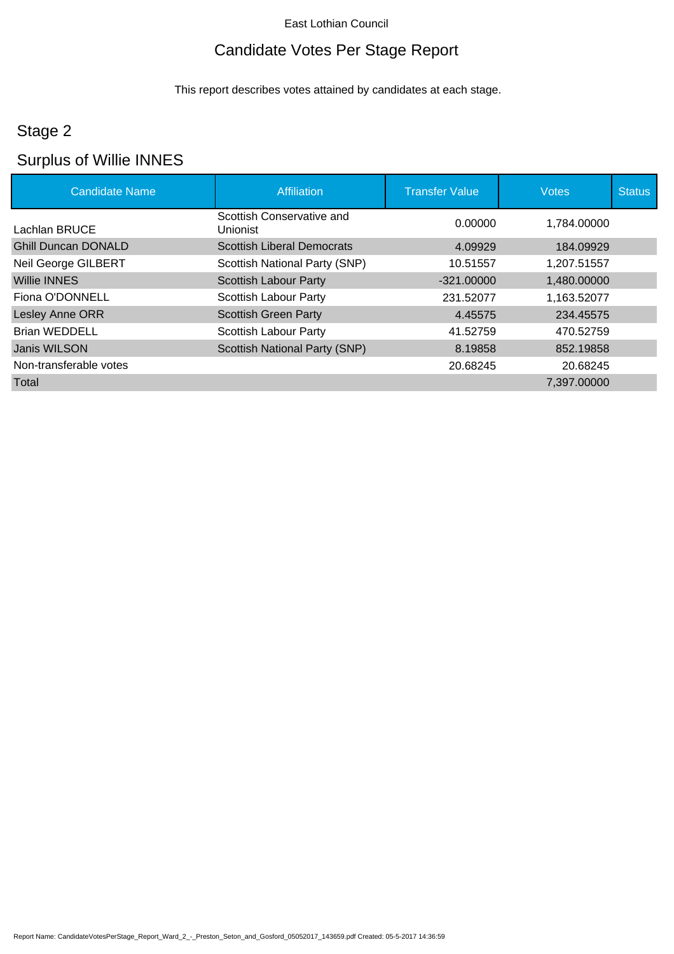# Candidate Votes Per Stage Report

This report describes votes attained by candidates at each stage.

# Stage 2

# Surplus of Willie INNES

| <b>Candidate Name</b>      | Affiliation                                  | <b>Transfer Value</b> | <b>Votes</b> | <b>Status</b> |
|----------------------------|----------------------------------------------|-----------------------|--------------|---------------|
| Lachlan BRUCE              | Scottish Conservative and<br><b>Unionist</b> | 0.00000               | 1.784.00000  |               |
| <b>Ghill Duncan DONALD</b> | <b>Scottish Liberal Democrats</b>            | 4.09929               | 184.09929    |               |
| Neil George GILBERT        | Scottish National Party (SNP)                | 10.51557              | 1,207.51557  |               |
| <b>Willie INNES</b>        | <b>Scottish Labour Party</b>                 | $-321.00000$          | 1,480.00000  |               |
| Fiona O'DONNELL            | <b>Scottish Labour Party</b>                 | 231.52077             | 1,163.52077  |               |
| Lesley Anne ORR            | <b>Scottish Green Party</b>                  | 4.45575               | 234.45575    |               |
| <b>Brian WEDDELL</b>       | <b>Scottish Labour Party</b>                 | 41.52759              | 470.52759    |               |
| Janis WILSON               | <b>Scottish National Party (SNP)</b>         | 8.19858               | 852.19858    |               |
| Non-transferable votes     |                                              | 20.68245              | 20.68245     |               |
| Total                      |                                              |                       | 7,397.00000  |               |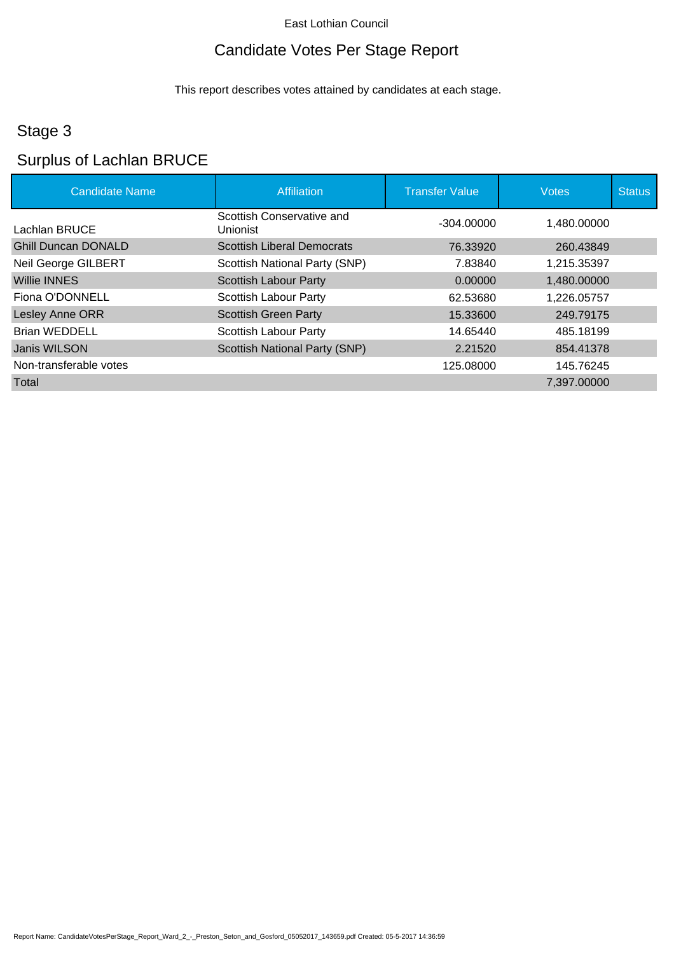# Candidate Votes Per Stage Report

This report describes votes attained by candidates at each stage.

# Stage 3

# Surplus of Lachlan BRUCE

| <b>Candidate Name</b>      | Affiliation                                  | <b>Transfer Value</b> | <b>Votes</b> | <b>Status</b> |
|----------------------------|----------------------------------------------|-----------------------|--------------|---------------|
| Lachlan BRUCE              | Scottish Conservative and<br><b>Unionist</b> | $-304.00000$          | 1.480.00000  |               |
| <b>Ghill Duncan DONALD</b> | <b>Scottish Liberal Democrats</b>            | 76.33920              | 260.43849    |               |
| Neil George GILBERT        | Scottish National Party (SNP)                | 7.83840               | 1,215.35397  |               |
| <b>Willie INNES</b>        | <b>Scottish Labour Party</b>                 | 0.00000               | 1,480.00000  |               |
| Fiona O'DONNELL            | <b>Scottish Labour Party</b>                 | 62.53680              | 1.226.05757  |               |
| Lesley Anne ORR            | <b>Scottish Green Party</b>                  | 15.33600              | 249.79175    |               |
| <b>Brian WEDDELL</b>       | <b>Scottish Labour Party</b>                 | 14.65440              | 485.18199    |               |
| Janis WILSON               | <b>Scottish National Party (SNP)</b>         | 2.21520               | 854.41378    |               |
| Non-transferable votes     |                                              | 125.08000             | 145.76245    |               |
| Total                      |                                              |                       | 7,397.00000  |               |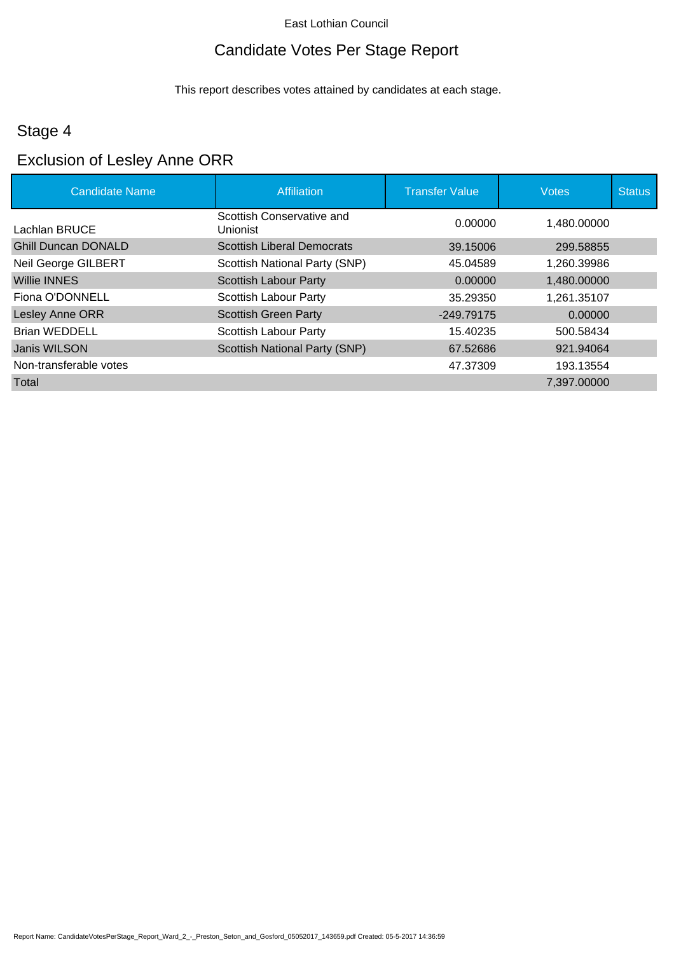# Candidate Votes Per Stage Report

This report describes votes attained by candidates at each stage.

# Stage 4

# Exclusion of Lesley Anne ORR

| <b>Candidate Name</b>      | Affiliation                                  | <b>Transfer Value</b> | <b>Votes</b> | <b>Status</b> |
|----------------------------|----------------------------------------------|-----------------------|--------------|---------------|
| Lachlan BRUCE              | Scottish Conservative and<br><b>Unionist</b> | 0.00000               | 1,480.00000  |               |
| <b>Ghill Duncan DONALD</b> | <b>Scottish Liberal Democrats</b>            | 39.15006              | 299.58855    |               |
| Neil George GILBERT        | Scottish National Party (SNP)                | 45.04589              | 1,260.39986  |               |
| <b>Willie INNES</b>        | <b>Scottish Labour Party</b>                 | 0.00000               | 1,480.00000  |               |
| Fiona O'DONNELL            | <b>Scottish Labour Party</b>                 | 35.29350              | 1,261.35107  |               |
| Lesley Anne ORR            | <b>Scottish Green Party</b>                  | $-249.79175$          | 0.00000      |               |
| <b>Brian WEDDELL</b>       | <b>Scottish Labour Party</b>                 | 15.40235              | 500.58434    |               |
| Janis WILSON               | <b>Scottish National Party (SNP)</b>         | 67.52686              | 921.94064    |               |
| Non-transferable votes     |                                              | 47.37309              | 193.13554    |               |
| Total                      |                                              |                       | 7,397.00000  |               |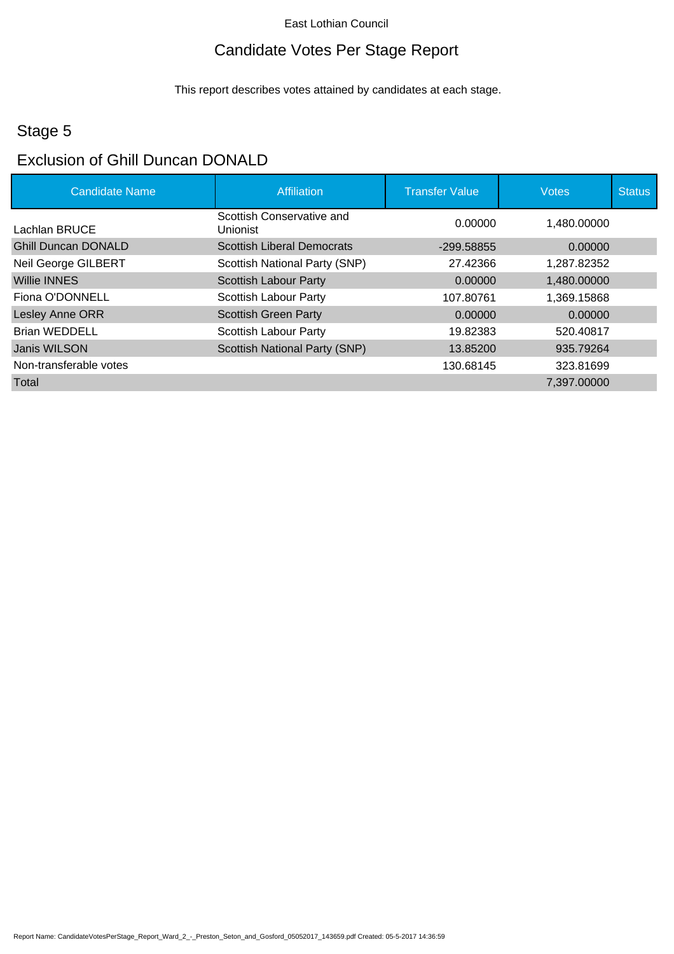# Candidate Votes Per Stage Report

This report describes votes attained by candidates at each stage.

# Stage 5

# Exclusion of Ghill Duncan DONALD

| <b>Candidate Name</b>      | Affiliation                                  | <b>Transfer Value</b> | <b>Votes</b> | <b>Status</b> |
|----------------------------|----------------------------------------------|-----------------------|--------------|---------------|
| Lachlan BRUCE              | Scottish Conservative and<br><b>Unionist</b> | 0.00000               | 1.480.00000  |               |
| <b>Ghill Duncan DONALD</b> | <b>Scottish Liberal Democrats</b>            | -299.58855            | 0.00000      |               |
| Neil George GILBERT        | Scottish National Party (SNP)                | 27.42366              | 1,287.82352  |               |
| <b>Willie INNES</b>        | Scottish Labour Party                        | 0.00000               | 1,480.00000  |               |
| Fiona O'DONNELL            | <b>Scottish Labour Party</b>                 | 107.80761             | 1,369.15868  |               |
| Lesley Anne ORR            | <b>Scottish Green Party</b>                  | 0.00000               | 0.00000      |               |
| Brian WEDDELL              | <b>Scottish Labour Party</b>                 | 19.82383              | 520.40817    |               |
| Janis WILSON               | <b>Scottish National Party (SNP)</b>         | 13.85200              | 935.79264    |               |
| Non-transferable votes     |                                              | 130.68145             | 323.81699    |               |
| Total                      |                                              |                       | 7,397.00000  |               |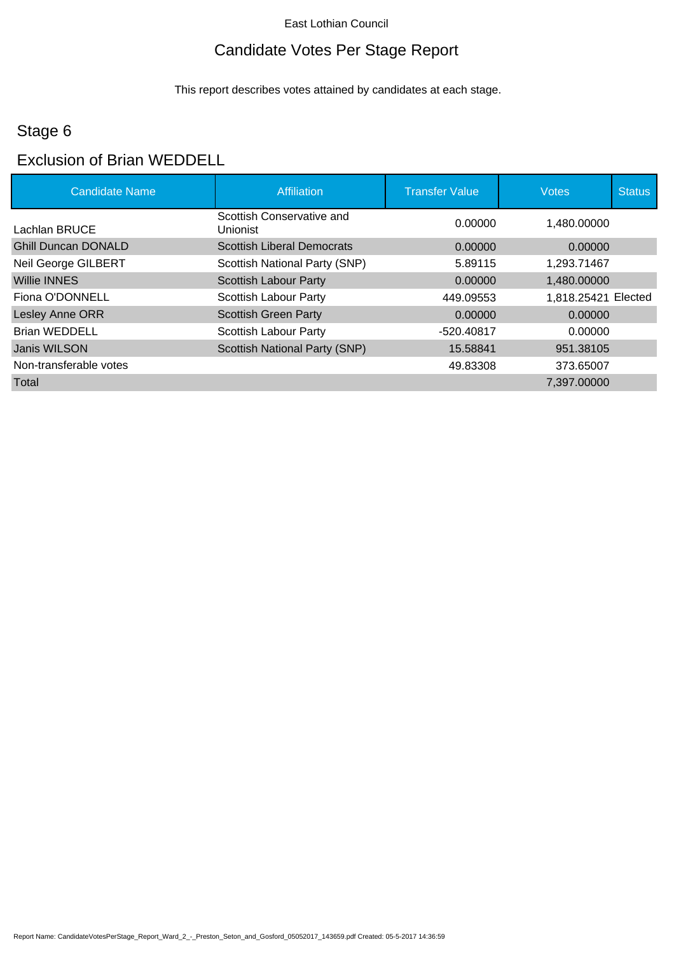# Candidate Votes Per Stage Report

This report describes votes attained by candidates at each stage.

# Stage 6

#### Exclusion of Brian WEDDELL

| <b>Candidate Name</b>      | <b>Affiliation</b>                    | <b>Transfer Value</b> | <b>Votes</b>        | <b>Status</b> |
|----------------------------|---------------------------------------|-----------------------|---------------------|---------------|
| Lachlan BRUCE              | Scottish Conservative and<br>Unionist | 0.00000               | 1,480.00000         |               |
| <b>Ghill Duncan DONALD</b> | <b>Scottish Liberal Democrats</b>     | 0.00000               | 0.00000             |               |
| Neil George GILBERT        | Scottish National Party (SNP)         | 5.89115               | 1,293.71467         |               |
| <b>Willie INNES</b>        | <b>Scottish Labour Party</b>          | 0.00000               | 1,480.00000         |               |
| Fiona O'DONNELL            | <b>Scottish Labour Party</b>          | 449.09553             | 1,818.25421 Elected |               |
| Lesley Anne ORR            | <b>Scottish Green Party</b>           | 0.00000               | 0.00000             |               |
| <b>Brian WEDDELL</b>       | <b>Scottish Labour Party</b>          | -520.40817            | 0.00000             |               |
| Janis WILSON               | <b>Scottish National Party (SNP)</b>  | 15.58841              | 951.38105           |               |
| Non-transferable votes     |                                       | 49.83308              | 373.65007           |               |
| Total                      |                                       |                       | 7,397.00000         |               |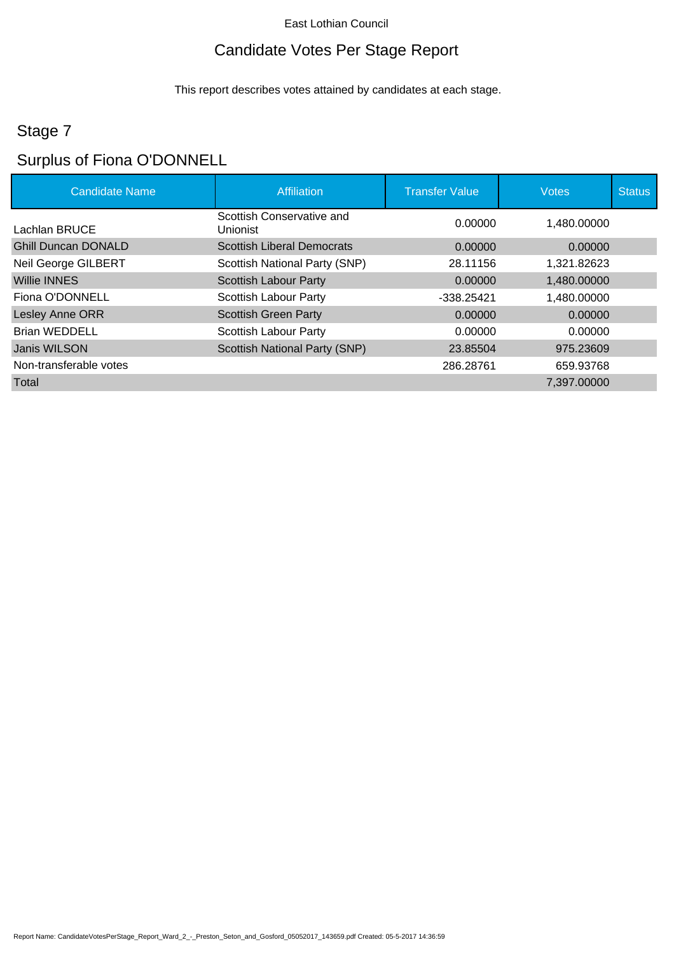# Candidate Votes Per Stage Report

This report describes votes attained by candidates at each stage.

# Stage 7

# Surplus of Fiona O'DONNELL

| <b>Candidate Name</b>      | Affiliation                           | <b>Transfer Value</b> | <b>Votes</b> | <b>Status</b> |
|----------------------------|---------------------------------------|-----------------------|--------------|---------------|
| Lachlan BRUCE              | Scottish Conservative and<br>Unionist | 0.00000               | 1,480.00000  |               |
| <b>Ghill Duncan DONALD</b> | <b>Scottish Liberal Democrats</b>     | 0.00000               | 0.00000      |               |
| Neil George GILBERT        | Scottish National Party (SNP)         | 28.11156              | 1,321.82623  |               |
| <b>Willie INNES</b>        | <b>Scottish Labour Party</b>          | 0.00000               | 1.480.00000  |               |
| Fiona O'DONNELL            | <b>Scottish Labour Party</b>          | $-338.25421$          | 1,480.00000  |               |
| Lesley Anne ORR            | <b>Scottish Green Party</b>           | 0.00000               | 0.00000      |               |
| <b>Brian WEDDELL</b>       | <b>Scottish Labour Party</b>          | 0.00000               | 0.00000      |               |
| Janis WILSON               | <b>Scottish National Party (SNP)</b>  | 23.85504              | 975.23609    |               |
| Non-transferable votes     |                                       | 286.28761             | 659.93768    |               |
| Total                      |                                       |                       | 7,397.00000  |               |